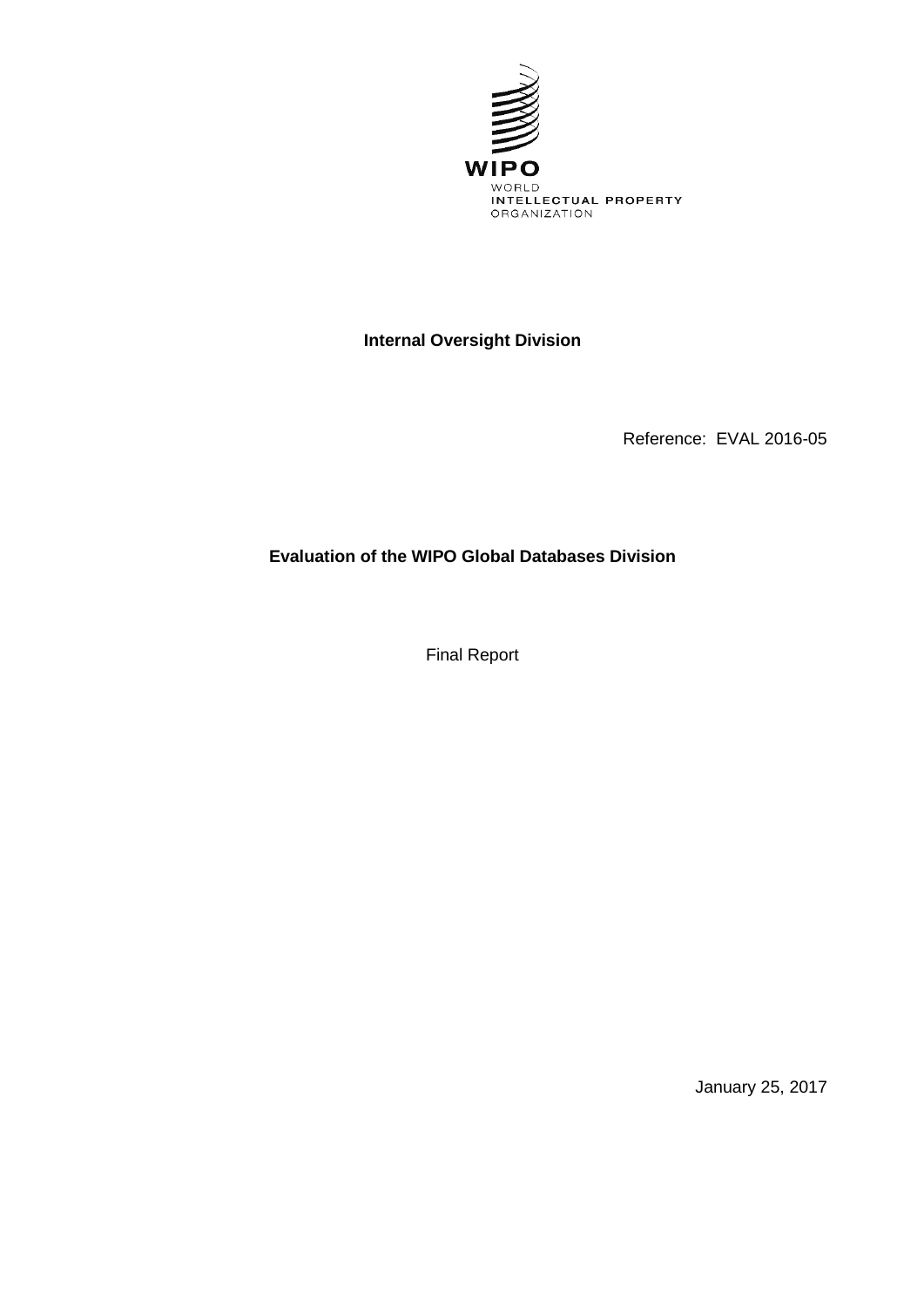

## **Internal Oversight Division**

Reference: EVAL 2016-05

**Evaluation of the WIPO Global Databases Division**

Final Report

January 25, 2017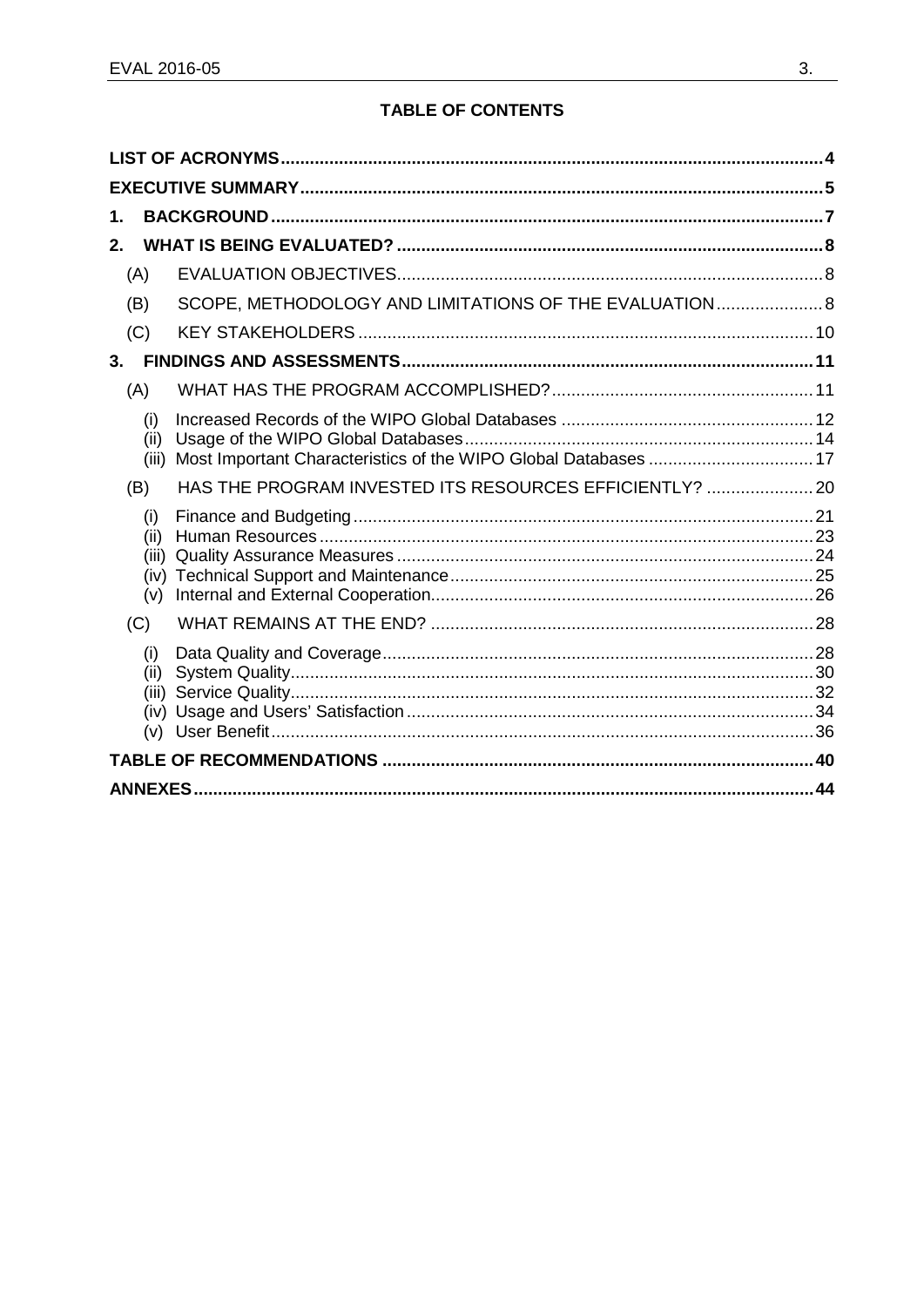## **TABLE OF CONTENTS**

| 1.                                  |                                                                 |  |  |
|-------------------------------------|-----------------------------------------------------------------|--|--|
| 2.                                  |                                                                 |  |  |
| (A)                                 |                                                                 |  |  |
| (B)                                 | SCOPE, METHODOLOGY AND LIMITATIONS OF THE EVALUATION 8          |  |  |
| (C)                                 |                                                                 |  |  |
| 3.                                  |                                                                 |  |  |
| (A)                                 |                                                                 |  |  |
| (i)<br>(ii)<br>(iii)                | Most Important Characteristics of the WIPO Global Databases  17 |  |  |
| (B)                                 | HAS THE PROGRAM INVESTED ITS RESOURCES EFFICIENTLY?  20         |  |  |
| (i)<br>(ii)<br>(iii)<br>(iv)<br>(v) |                                                                 |  |  |
| (C)                                 |                                                                 |  |  |
| (i)<br>(ii)<br>(iii)<br>(iv)<br>(v) |                                                                 |  |  |
|                                     |                                                                 |  |  |
|                                     | 44                                                              |  |  |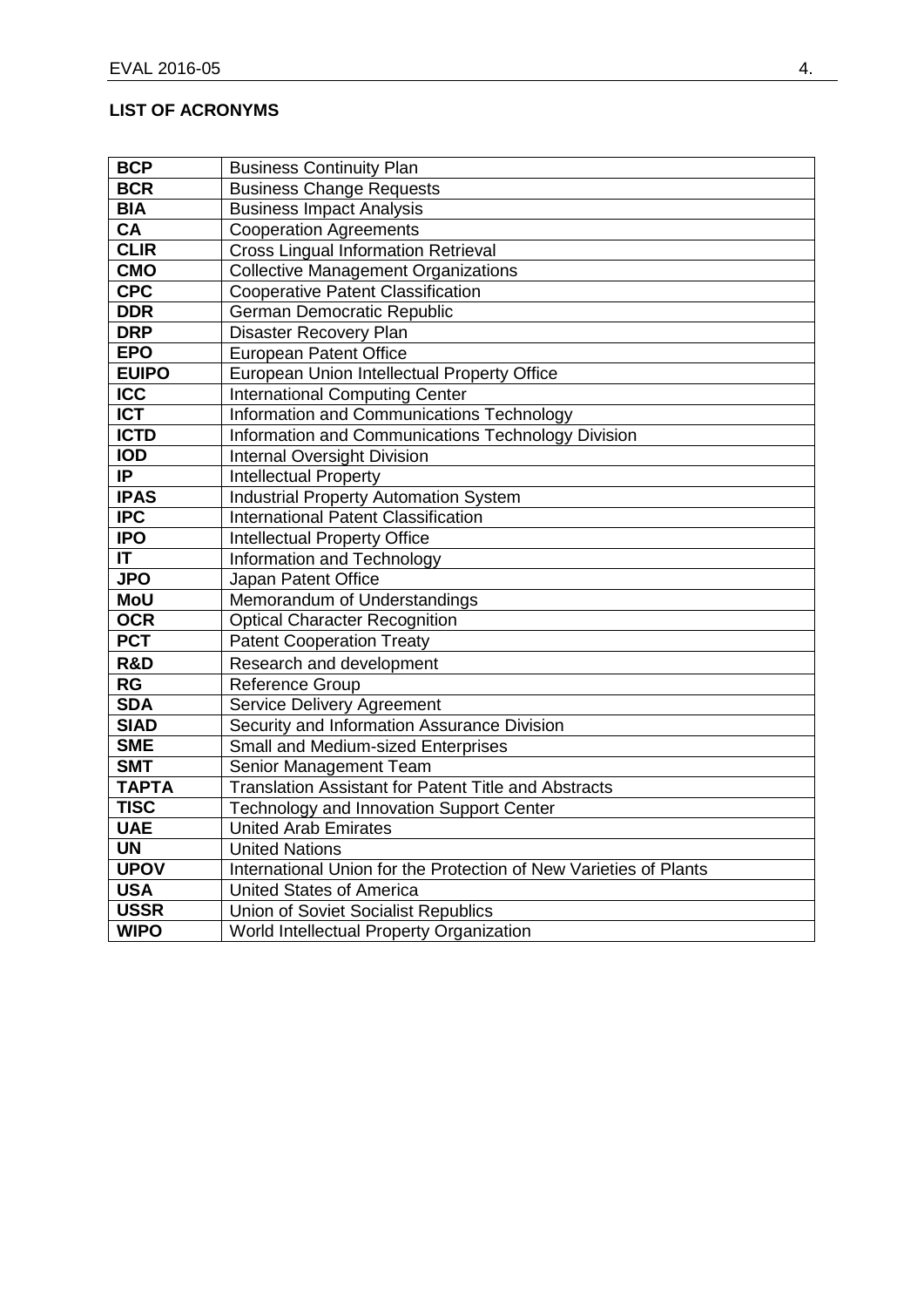## <span id="page-2-0"></span>**LIST OF ACRONYMS**

| <b>BCP</b>       | <b>Business Continuity Plan</b>                                   |
|------------------|-------------------------------------------------------------------|
| <b>BCR</b>       | <b>Business Change Requests</b>                                   |
| <b>BIA</b>       | <b>Business Impact Analysis</b>                                   |
| CA               | <b>Cooperation Agreements</b>                                     |
| <b>CLIR</b>      | <b>Cross Lingual Information Retrieval</b>                        |
| <b>CMO</b>       | <b>Collective Management Organizations</b>                        |
| <b>CPC</b>       | <b>Cooperative Patent Classification</b>                          |
| <b>DDR</b>       | German Democratic Republic                                        |
| <b>DRP</b>       | Disaster Recovery Plan                                            |
| <b>EPO</b>       | <b>European Patent Office</b>                                     |
| <b>EUIPO</b>     | European Union Intellectual Property Office                       |
| <b>ICC</b>       | <b>International Computing Center</b>                             |
| <b>ICT</b>       | Information and Communications Technology                         |
| <b>ICTD</b>      | Information and Communications Technology Division                |
| <b>IOD</b>       | <b>Internal Oversight Division</b>                                |
| IP               | <b>Intellectual Property</b>                                      |
| <b>IPAS</b>      | <b>Industrial Property Automation System</b>                      |
| $\overline{IPC}$ | <b>International Patent Classification</b>                        |
| <b>IPO</b>       | <b>Intellectual Property Office</b>                               |
| IT               | Information and Technology                                        |
| <b>JPO</b>       | Japan Patent Office                                               |
| <b>MoU</b>       | Memorandum of Understandings                                      |
| <b>OCR</b>       | <b>Optical Character Recognition</b>                              |
| <b>PCT</b>       | <b>Patent Cooperation Treaty</b>                                  |
| R&D              | Research and development                                          |
| <b>RG</b>        | <b>Reference Group</b>                                            |
| <b>SDA</b>       | Service Delivery Agreement                                        |
| <b>SIAD</b>      | Security and Information Assurance Division                       |
| <b>SME</b>       | Small and Medium-sized Enterprises                                |
| <b>SMT</b>       | Senior Management Team                                            |
| <b>TAPTA</b>     | <b>Translation Assistant for Patent Title and Abstracts</b>       |
| <b>TISC</b>      | Technology and Innovation Support Center                          |
| <b>UAE</b>       | <b>United Arab Emirates</b>                                       |
| <b>UN</b>        | <b>United Nations</b>                                             |
| <b>UPOV</b>      | International Union for the Protection of New Varieties of Plants |
| <b>USA</b>       | <b>United States of America</b>                                   |
| <b>USSR</b>      | Union of Soviet Socialist Republics                               |
| <b>WIPO</b>      | World Intellectual Property Organization                          |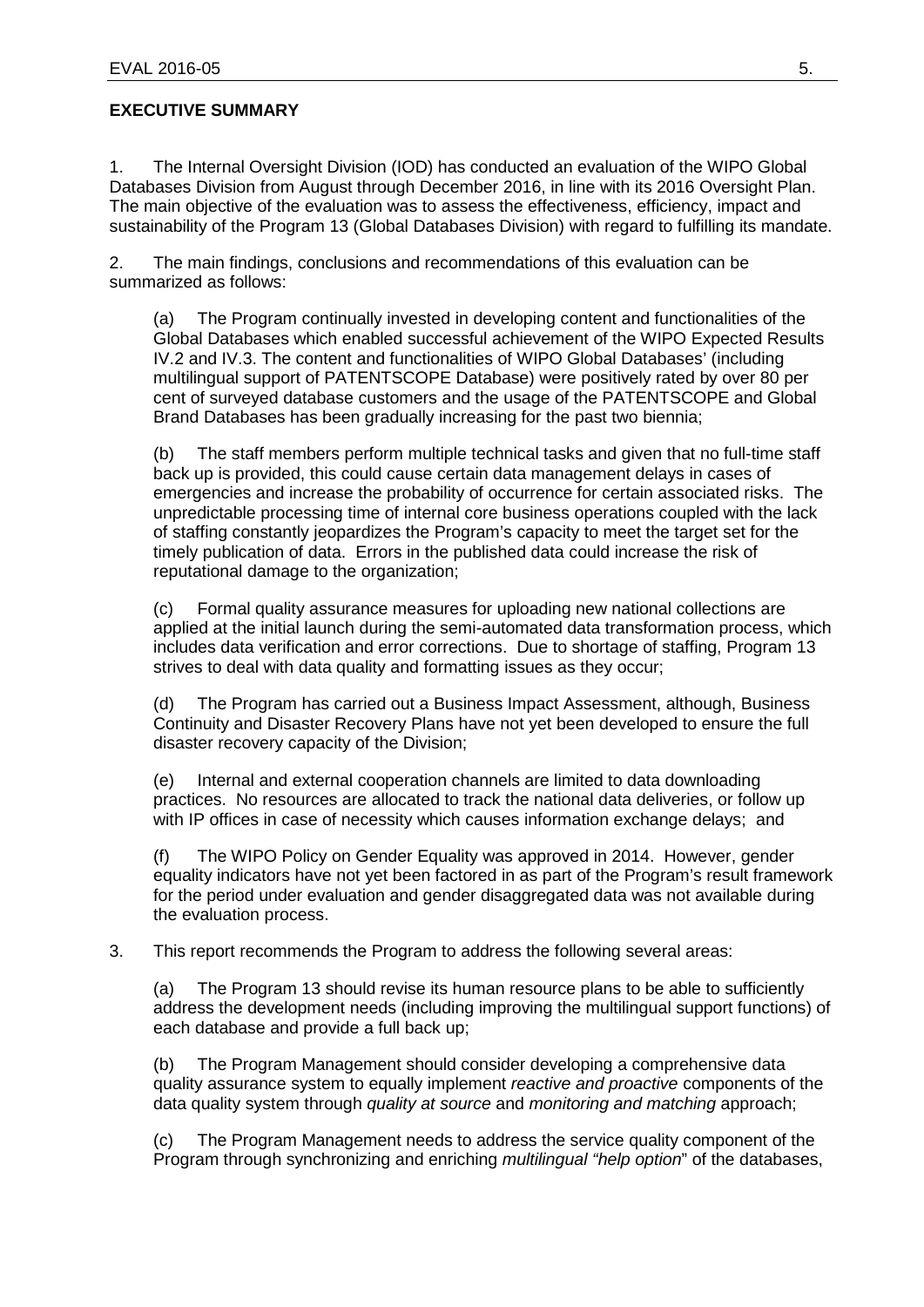## <span id="page-3-0"></span>**EXECUTIVE SUMMARY**

1. The Internal Oversight Division (IOD) has conducted an evaluation of the WIPO Global Databases Division from August through December 2016, in line with its 2016 Oversight Plan. The main objective of the evaluation was to assess the effectiveness, efficiency, impact and sustainability of the Program 13 (Global Databases Division) with regard to fulfilling its mandate.

2. The main findings, conclusions and recommendations of this evaluation can be summarized as follows:

(a) The Program continually invested in developing content and functionalities of the Global Databases which enabled successful achievement of the WIPO Expected Results IV.2 and IV.3. The content and functionalities of WIPO Global Databases' (including multilingual support of PATENTSCOPE Database) were positively rated by over 80 per cent of surveyed database customers and the usage of the PATENTSCOPE and Global Brand Databases has been gradually increasing for the past two biennia;

(b) The staff members perform multiple technical tasks and given that no full-time staff back up is provided, this could cause certain data management delays in cases of emergencies and increase the probability of occurrence for certain associated risks. The unpredictable processing time of internal core business operations coupled with the lack of staffing constantly jeopardizes the Program's capacity to meet the target set for the timely publication of data. Errors in the published data could increase the risk of reputational damage to the organization;

(c) Formal quality assurance measures for uploading new national collections are applied at the initial launch during the semi-automated data transformation process, which includes data verification and error corrections. Due to shortage of staffing, Program 13 strives to deal with data quality and formatting issues as they occur;

(d) The Program has carried out a Business Impact Assessment, although, Business Continuity and Disaster Recovery Plans have not yet been developed to ensure the full disaster recovery capacity of the Division;

(e) Internal and external cooperation channels are limited to data downloading practices. No resources are allocated to track the national data deliveries, or follow up with IP offices in case of necessity which causes information exchange delays; and

(f) The WIPO Policy on Gender Equality was approved in 2014. However, gender equality indicators have not yet been factored in as part of the Program's result framework for the period under evaluation and gender disaggregated data was not available during the evaluation process.

3. This report recommends the Program to address the following several areas:

(a) The Program 13 should revise its human resource plans to be able to sufficiently address the development needs (including improving the multilingual support functions) of each database and provide a full back up;

(b) The Program Management should consider developing a comprehensive data quality assurance system to equally implement *reactive and proactive* components of the data quality system through *quality at source* and *monitoring and matching* approach;

(c) The Program Management needs to address the service quality component of the Program through synchronizing and enriching *multilingual "help option*" of the databases,